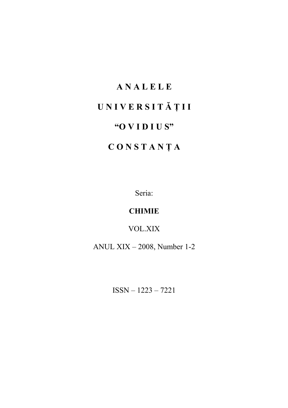### **A N A L E L E**

# **U N I V E R S I T Ă Ţ I I**

### **"O V I D I U S"**

## **C O N S T A N Ţ A**

Seria:

### **CHIMIE**

VOL.XIX

ANUL XIX – 2008, Number 1-2

ISSN – 1223 – 7221